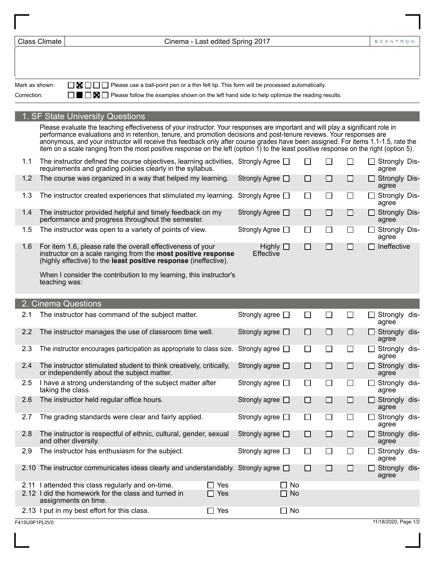| <b>Class Climate</b> |               | Cinema - Last edited Spring 2017             |                                                                                                                                                                                                                                                                                                                                                                                                                     |  |            |                               |           |        |        |        | SCANTRON.                     |  |
|----------------------|---------------|----------------------------------------------|---------------------------------------------------------------------------------------------------------------------------------------------------------------------------------------------------------------------------------------------------------------------------------------------------------------------------------------------------------------------------------------------------------------------|--|------------|-------------------------------|-----------|--------|--------|--------|-------------------------------|--|
|                      |               |                                              |                                                                                                                                                                                                                                                                                                                                                                                                                     |  |            |                               |           |        |        |        |                               |  |
|                      |               |                                              |                                                                                                                                                                                                                                                                                                                                                                                                                     |  |            |                               |           |        |        |        |                               |  |
| Mark as shown:       |               | ΙI                                           | $\blacksquare \square \square \square$ Please use a ball-point pen or a thin felt tip. This form will be processed automatically.                                                                                                                                                                                                                                                                                   |  |            |                               |           |        |        |        |                               |  |
| Correction:          |               | - III 1                                      | $\blacksquare$ Please follow the examples shown on the left hand side to help optimize the reading results.                                                                                                                                                                                                                                                                                                         |  |            |                               |           |        |        |        |                               |  |
|                      |               | <b>SF State University Questions</b>         |                                                                                                                                                                                                                                                                                                                                                                                                                     |  |            |                               |           |        |        |        |                               |  |
|                      |               |                                              | Please evaluate the teaching effectiveness of your instructor. Your responses are important and will play a significant role in                                                                                                                                                                                                                                                                                     |  |            |                               |           |        |        |        |                               |  |
|                      |               |                                              | performance evaluations and in retention, tenure, and promotion decisions and post-tenure reviews. Your responses are<br>anonymous, and your instructor will receive this feedback only after course grades have been assigned. For items 1.1-1.5, rate the<br>item on a scale ranging from the most positive response on the left (option $\tilde{\eta}$ ) to the least positive response on the right (option 5). |  |            |                               |           |        |        |        |                               |  |
| 1.1                  |               |                                              | The instructor defined the course objectives, learning activities, Strongly Agree $\Box$<br>requirements and grading policies clearly in the syllabus.                                                                                                                                                                                                                                                              |  |            |                               |           | $\Box$ | □      | □      | $\Box$ Strongly Dis-<br>agree |  |
| 1.2                  |               |                                              | The course was organized in a way that helped my learning.                                                                                                                                                                                                                                                                                                                                                          |  |            | Strongly Agree □              |           | $\Box$ | $\Box$ | □      | <b>Strongly Dis-</b><br>agree |  |
| 1.3                  |               |                                              | The instructor created experiences that stimulated my learning. Strongly Agree $\Box$                                                                                                                                                                                                                                                                                                                               |  |            |                               |           | $\Box$ | $\Box$ | $\Box$ | □ Strongly Dis-<br>agree      |  |
| 1.4                  |               |                                              | The instructor provided helpful and timely feedback on my<br>performance and progress throughout the semester.                                                                                                                                                                                                                                                                                                      |  |            | Strongly Agree □              |           | $\Box$ | □      | $\Box$ | $\Box$ Strongly Dis-<br>agree |  |
| 1.5                  |               |                                              | The instructor was open to a variety of points of view.                                                                                                                                                                                                                                                                                                                                                             |  |            | Strongly Agree □              |           | $\Box$ | $\Box$ | $\Box$ | □ Strongly Dis-<br>agree      |  |
| 1.6                  |               |                                              | For item 1.6, please rate the overall effectiveness of your<br>instructor on a scale ranging from the most positive response<br>(highly effective) to the least positive response (ineffective).                                                                                                                                                                                                                    |  |            | Highly $\square$<br>Effective |           | $\Box$ | $\Box$ | □      | Ineffective                   |  |
|                      | teaching was: |                                              | When I consider the contribution to my learning, this instructor's                                                                                                                                                                                                                                                                                                                                                  |  |            |                               |           |        |        |        |                               |  |
|                      |               |                                              |                                                                                                                                                                                                                                                                                                                                                                                                                     |  |            |                               |           |        |        |        |                               |  |
| 2.1                  |               | 2. Cinema Questions                          | The instructor has command of the subject matter.                                                                                                                                                                                                                                                                                                                                                                   |  |            | Strongly agree $\Box$         |           | $\Box$ | $\Box$ | $\Box$ | Strongly dis-                 |  |
| 2.2                  |               |                                              | The instructor manages the use of classroom time well.                                                                                                                                                                                                                                                                                                                                                              |  |            | Strongly agree $\square$      |           | $\Box$ | $\Box$ | □      | agree<br>Strongly dis-        |  |
|                      |               |                                              |                                                                                                                                                                                                                                                                                                                                                                                                                     |  |            |                               |           |        |        |        | agree                         |  |
| 2.3                  |               |                                              | The instructor encourages participation as appropriate to class size. Strongly agree $\square$                                                                                                                                                                                                                                                                                                                      |  |            |                               |           | П      | $\Box$ | $\Box$ | Strongly dis-<br>agree        |  |
| 2.4                  |               |                                              | The instructor stimulated student to think creatively, critically,<br>or independently about the subject matter.                                                                                                                                                                                                                                                                                                    |  |            | Strongly agree $\square$      |           | $\Box$ | $\Box$ | □      | Strongly dis-<br>agree        |  |
| 2.5                  |               | taking the class.                            | I have a strong understanding of the subject matter after                                                                                                                                                                                                                                                                                                                                                           |  |            | Strongly agree $\square$      |           | $\Box$ | $\Box$ | $\Box$ | Strongly dis-<br>agree        |  |
| 2.6                  |               |                                              | The instructor held regular office hours.                                                                                                                                                                                                                                                                                                                                                                           |  |            | Strongly agree $\square$      |           | $\Box$ | □      | □      | Strongly dis-<br>agree        |  |
| 2.7                  |               |                                              | The grading standards were clear and fairly applied.                                                                                                                                                                                                                                                                                                                                                                |  |            | Strongly agree $\Box$         |           | $\Box$ | $\Box$ | $\Box$ | Strongly dis-<br>agree        |  |
| 2.8                  |               | and other diversity.                         | The instructor is respectful of ethnic, cultural, gender, sexual                                                                                                                                                                                                                                                                                                                                                    |  |            | Strongly agree $\square$      |           | $\Box$ | □      | □      | Strongly dis-<br>agree        |  |
| 2.9                  |               |                                              | The instructor has enthusiasm for the subject.                                                                                                                                                                                                                                                                                                                                                                      |  |            | Strongly agree $\Box$         |           | $\Box$ | $\Box$ | $\Box$ | Strongly dis-<br>agree        |  |
|                      |               |                                              | 2.10 The instructor communicates ideas clearly and understandably. Strongly agree $\Box$                                                                                                                                                                                                                                                                                                                            |  |            |                               |           | $\Box$ | □      | □      | Strongly dis-<br>agree        |  |
|                      |               |                                              | 2.11 I attended this class regularly and on-time.                                                                                                                                                                                                                                                                                                                                                                   |  | $\Box$ Yes |                               | No<br>ΙI  |        |        |        |                               |  |
|                      |               | assignments on time.                         | 2.12 I did the homework for the class and turned in                                                                                                                                                                                                                                                                                                                                                                 |  | $\Box$ Yes |                               | $\Box$ No |        |        |        |                               |  |
|                      |               | 2.13 I put in my best effort for this class. |                                                                                                                                                                                                                                                                                                                                                                                                                     |  | $\Box$ Yes |                               | $\Box$ No |        |        |        |                               |  |
| F415U0P1PL0V0        |               |                                              |                                                                                                                                                                                                                                                                                                                                                                                                                     |  |            |                               |           |        |        |        | 11/18/2020, Page 1/2          |  |